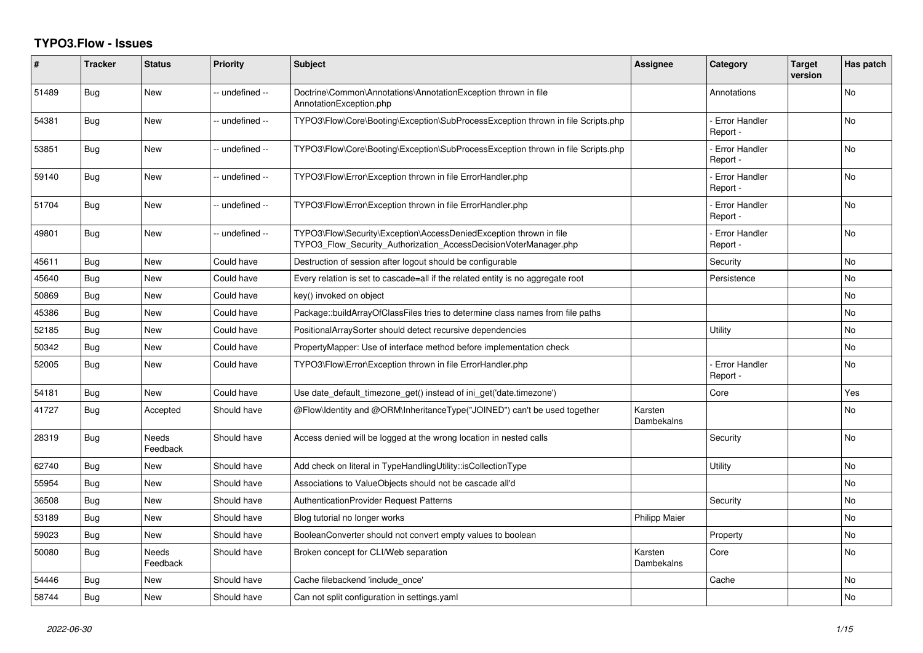## **TYPO3.Flow - Issues**

| #     | <b>Tracker</b> | <b>Status</b>            | <b>Priority</b> | <b>Subject</b>                                                                                                                         | <b>Assignee</b>       | Category                         | Target<br>version | Has patch |
|-------|----------------|--------------------------|-----------------|----------------------------------------------------------------------------------------------------------------------------------------|-----------------------|----------------------------------|-------------------|-----------|
| 51489 | Bug            | New                      | -- undefined -- | Doctrine\Common\Annotations\AnnotationException thrown in file<br>AnnotationException.php                                              |                       | Annotations                      |                   | No        |
| 54381 | Bug            | New                      | -- undefined -- | TYPO3\Flow\Core\Booting\Exception\SubProcessException thrown in file Scripts.php                                                       |                       | <b>Error Handler</b><br>Report - |                   | No        |
| 53851 | <b>Bug</b>     | <b>New</b>               | -- undefined -- | TYPO3\Flow\Core\Booting\Exception\SubProcessException thrown in file Scripts.php                                                       |                       | <b>Error Handler</b><br>Report - |                   | No        |
| 59140 | Bug            | <b>New</b>               | -- undefined -- | TYPO3\Flow\Error\Exception thrown in file ErrorHandler.php                                                                             |                       | <b>Error Handler</b><br>Report - |                   | No        |
| 51704 | <b>Bug</b>     | New                      | -- undefined -- | TYPO3\Flow\Error\Exception thrown in file ErrorHandler.php                                                                             |                       | <b>Error Handler</b><br>Report - |                   | No        |
| 49801 | Bug            | New                      | -- undefined -- | TYPO3\Flow\Security\Exception\AccessDeniedException thrown in file<br>TYPO3 Flow Security Authorization AccessDecisionVoterManager.php |                       | <b>Error Handler</b><br>Report - |                   | No        |
| 45611 | Bug            | <b>New</b>               | Could have      | Destruction of session after logout should be configurable                                                                             |                       | Security                         |                   | <b>No</b> |
| 45640 | Bug            | New                      | Could have      | Every relation is set to cascade=all if the related entity is no aggregate root                                                        |                       | Persistence                      |                   | No        |
| 50869 | <b>Bug</b>     | <b>New</b>               | Could have      | key() invoked on object                                                                                                                |                       |                                  |                   | No        |
| 45386 | Bug            | <b>New</b>               | Could have      | Package::buildArrayOfClassFiles tries to determine class names from file paths                                                         |                       |                                  |                   | No        |
| 52185 | Bug            | <b>New</b>               | Could have      | PositionalArraySorter should detect recursive dependencies                                                                             |                       | <b>Utility</b>                   |                   | No        |
| 50342 | <b>Bug</b>     | <b>New</b>               | Could have      | PropertyMapper: Use of interface method before implementation check                                                                    |                       |                                  |                   | No.       |
| 52005 | Bug            | <b>New</b>               | Could have      | TYPO3\Flow\Error\Exception thrown in file ErrorHandler.php                                                                             |                       | <b>Error Handler</b><br>Report - |                   | No        |
| 54181 | Bug            | <b>New</b>               | Could have      | Use date_default_timezone_get() instead of ini_get('date.timezone')                                                                    |                       | Core                             |                   | Yes       |
| 41727 | Bug            | Accepted                 | Should have     | @Flow\Identity and @ORM\InheritanceType("JOINED") can't be used together                                                               | Karsten<br>Dambekalns |                                  |                   | No        |
| 28319 | Bug            | <b>Needs</b><br>Feedback | Should have     | Access denied will be logged at the wrong location in nested calls                                                                     |                       | Security                         |                   | <b>No</b> |
| 62740 | Bug            | <b>New</b>               | Should have     | Add check on literal in TypeHandlingUtility::isCollectionType                                                                          |                       | Utility                          |                   | No        |
| 55954 | Bug            | New                      | Should have     | Associations to ValueObjects should not be cascade all'd                                                                               |                       |                                  |                   | No        |
| 36508 | Bug            | <b>New</b>               | Should have     | <b>AuthenticationProvider Request Patterns</b>                                                                                         |                       | Security                         |                   | No        |
| 53189 | Bug            | <b>New</b>               | Should have     | Blog tutorial no longer works                                                                                                          | <b>Philipp Maier</b>  |                                  |                   | No        |
| 59023 | Bug            | New                      | Should have     | BooleanConverter should not convert empty values to boolean                                                                            |                       | Property                         |                   | No        |
| 50080 | Bug            | Needs<br>Feedback        | Should have     | Broken concept for CLI/Web separation                                                                                                  | Karsten<br>Dambekalns | Core                             |                   | No        |
| 54446 | Bug            | <b>New</b>               | Should have     | Cache filebackend 'include once'                                                                                                       |                       | Cache                            |                   | No        |
| 58744 | Bug            | <b>New</b>               | Should have     | Can not split configuration in settings yaml                                                                                           |                       |                                  |                   | No        |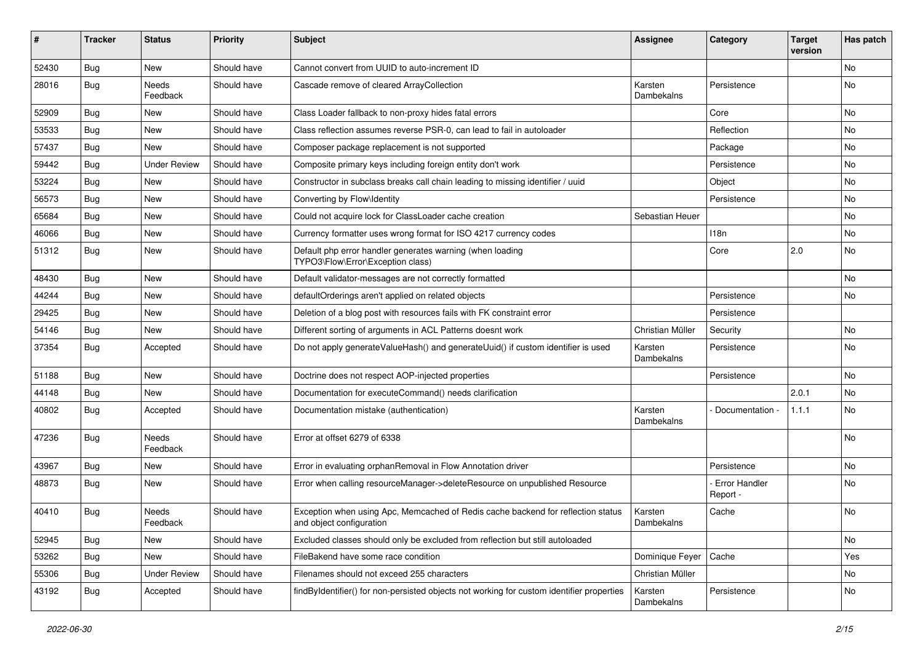| #     | <b>Tracker</b> | <b>Status</b>            | <b>Priority</b> | <b>Subject</b>                                                                                               | <b>Assignee</b>       | Category                    | <b>Target</b><br>version | Has patch |
|-------|----------------|--------------------------|-----------------|--------------------------------------------------------------------------------------------------------------|-----------------------|-----------------------------|--------------------------|-----------|
| 52430 | Bug            | <b>New</b>               | Should have     | Cannot convert from UUID to auto-increment ID                                                                |                       |                             |                          | No        |
| 28016 | Bug            | Needs<br>Feedback        | Should have     | Cascade remove of cleared ArrayCollection                                                                    | Karsten<br>Dambekalns | Persistence                 |                          | No        |
| 52909 | <b>Bug</b>     | New                      | Should have     | Class Loader fallback to non-proxy hides fatal errors                                                        |                       | Core                        |                          | <b>No</b> |
| 53533 | Bug            | New                      | Should have     | Class reflection assumes reverse PSR-0, can lead to fail in autoloader                                       |                       | Reflection                  |                          | No        |
| 57437 | <b>Bug</b>     | New                      | Should have     | Composer package replacement is not supported                                                                |                       | Package                     |                          | No        |
| 59442 | <b>Bug</b>     | <b>Under Review</b>      | Should have     | Composite primary keys including foreign entity don't work                                                   |                       | Persistence                 |                          | No        |
| 53224 | <b>Bug</b>     | <b>New</b>               | Should have     | Constructor in subclass breaks call chain leading to missing identifier / uuid                               |                       | Object                      |                          | No        |
| 56573 | Bug            | New                      | Should have     | Converting by Flow\Identity                                                                                  |                       | Persistence                 |                          | No        |
| 65684 | <b>Bug</b>     | New                      | Should have     | Could not acquire lock for ClassLoader cache creation                                                        | Sebastian Heuer       |                             |                          | No        |
| 46066 | <b>Bug</b>     | New                      | Should have     | Currency formatter uses wrong format for ISO 4217 currency codes                                             |                       | 118n                        |                          | <b>No</b> |
| 51312 | <b>Bug</b>     | New                      | Should have     | Default php error handler generates warning (when loading<br>TYPO3\Flow\Error\Exception class)               |                       | Core                        | 2.0                      | No        |
| 48430 | <b>Bug</b>     | <b>New</b>               | Should have     | Default validator-messages are not correctly formatted                                                       |                       |                             |                          | <b>No</b> |
| 44244 | <b>Bug</b>     | New                      | Should have     | defaultOrderings aren't applied on related objects                                                           |                       | Persistence                 |                          | No        |
| 29425 | <b>Bug</b>     | New                      | Should have     | Deletion of a blog post with resources fails with FK constraint error                                        |                       | Persistence                 |                          |           |
| 54146 | Bug            | New                      | Should have     | Different sorting of arguments in ACL Patterns doesnt work                                                   | Christian Müller      | Security                    |                          | <b>No</b> |
| 37354 | <b>Bug</b>     | Accepted                 | Should have     | Do not apply generateValueHash() and generateUuid() if custom identifier is used                             | Karsten<br>Dambekalns | Persistence                 |                          | No        |
| 51188 | <b>Bug</b>     | New                      | Should have     | Doctrine does not respect AOP-injected properties                                                            |                       | Persistence                 |                          | No        |
| 44148 | <b>Bug</b>     | New                      | Should have     | Documentation for executeCommand() needs clarification                                                       |                       |                             | 2.0.1                    | No        |
| 40802 | <b>Bug</b>     | Accepted                 | Should have     | Documentation mistake (authentication)                                                                       | Karsten<br>Dambekalns | Documentation -             | 1.1.1                    | No        |
| 47236 | Bug            | <b>Needs</b><br>Feedback | Should have     | Error at offset 6279 of 6338                                                                                 |                       |                             |                          | No        |
| 43967 | <b>Bug</b>     | New                      | Should have     | Error in evaluating orphanRemoval in Flow Annotation driver                                                  |                       | Persistence                 |                          | <b>No</b> |
| 48873 | <b>Bug</b>     | New                      | Should have     | Error when calling resourceManager->deleteResource on unpublished Resource                                   |                       | - Error Handler<br>Report - |                          | No        |
| 40410 | <b>Bug</b>     | Needs<br>Feedback        | Should have     | Exception when using Apc, Memcached of Redis cache backend for reflection status<br>and object configuration | Karsten<br>Dambekalns | Cache                       |                          | No        |
| 52945 | Bug            | New                      | Should have     | Excluded classes should only be excluded from reflection but still autoloaded                                |                       |                             |                          | No        |
| 53262 | Bug            | New                      | Should have     | FileBakend have some race condition                                                                          | Dominique Feyer       | Cache                       |                          | Yes       |
| 55306 | <b>Bug</b>     | <b>Under Review</b>      | Should have     | Filenames should not exceed 255 characters                                                                   | Christian Müller      |                             |                          | No        |
| 43192 | Bug            | Accepted                 | Should have     | findByIdentifier() for non-persisted objects not working for custom identifier properties                    | Karsten<br>Dambekalns | Persistence                 |                          | No        |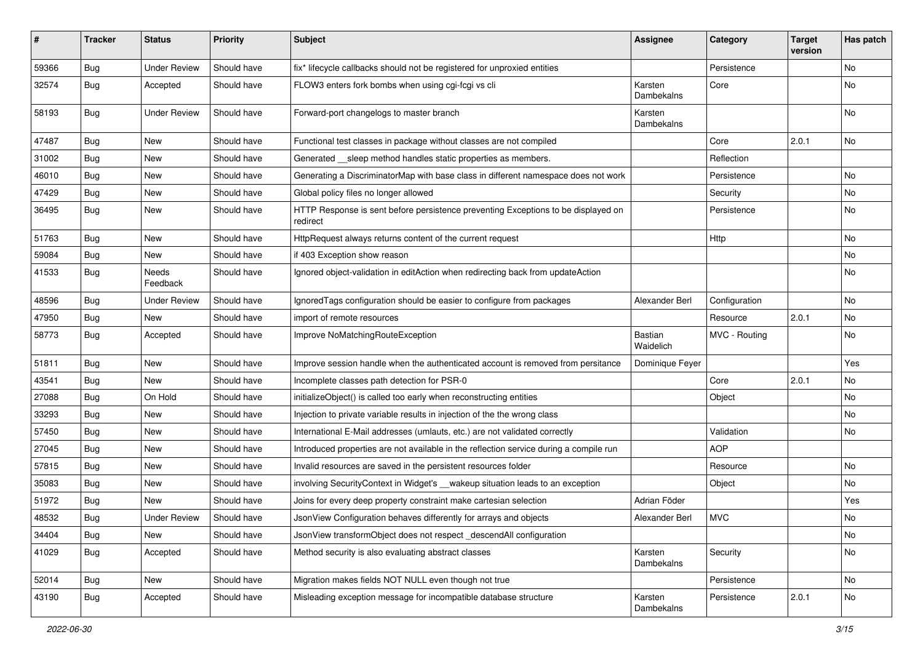| #     | <b>Tracker</b> | <b>Status</b>            | <b>Priority</b> | Subject                                                                                       | Assignee                    | Category      | <b>Target</b><br>version | Has patch |
|-------|----------------|--------------------------|-----------------|-----------------------------------------------------------------------------------------------|-----------------------------|---------------|--------------------------|-----------|
| 59366 | Bug            | <b>Under Review</b>      | Should have     | fix* lifecycle callbacks should not be registered for unproxied entities                      |                             | Persistence   |                          | No        |
| 32574 | Bug            | Accepted                 | Should have     | FLOW3 enters fork bombs when using cgi-fcgi vs cli                                            | Karsten<br>Dambekalns       | Core          |                          | No        |
| 58193 | Bug            | <b>Under Review</b>      | Should have     | Forward-port changelogs to master branch                                                      | Karsten<br>Dambekalns       |               |                          | No        |
| 47487 | <b>Bug</b>     | <b>New</b>               | Should have     | Functional test classes in package without classes are not compiled                           |                             | Core          | 2.0.1                    | No        |
| 31002 | <b>Bug</b>     | New                      | Should have     | Generated __sleep method handles static properties as members.                                |                             | Reflection    |                          |           |
| 46010 | <b>Bug</b>     | New                      | Should have     | Generating a DiscriminatorMap with base class in different namespace does not work            |                             | Persistence   |                          | <b>No</b> |
| 47429 | <b>Bug</b>     | New                      | Should have     | Global policy files no longer allowed                                                         |                             | Security      |                          | No        |
| 36495 | <b>Bug</b>     | New                      | Should have     | HTTP Response is sent before persistence preventing Exceptions to be displayed on<br>redirect |                             | Persistence   |                          | No        |
| 51763 | Bug            | New                      | Should have     | HttpRequest always returns content of the current request                                     |                             | Http          |                          | <b>No</b> |
| 59084 | <b>Bug</b>     | New                      | Should have     | if 403 Exception show reason                                                                  |                             |               |                          | No        |
| 41533 | <b>Bug</b>     | <b>Needs</b><br>Feedback | Should have     | Ignored object-validation in editAction when redirecting back from updateAction               |                             |               |                          | No        |
| 48596 | <b>Bug</b>     | <b>Under Review</b>      | Should have     | IgnoredTags configuration should be easier to configure from packages                         | Alexander Berl              | Configuration |                          | <b>No</b> |
| 47950 | <b>Bug</b>     | New                      | Should have     | import of remote resources                                                                    |                             | Resource      | 2.0.1                    | No        |
| 58773 | <b>Bug</b>     | Accepted                 | Should have     | Improve NoMatchingRouteException                                                              | <b>Bastian</b><br>Waidelich | MVC - Routing |                          | No        |
| 51811 | <b>Bug</b>     | <b>New</b>               | Should have     | Improve session handle when the authenticated account is removed from persitance              | Dominique Feyer             |               |                          | Yes       |
| 43541 | <b>Bug</b>     | New                      | Should have     | Incomplete classes path detection for PSR-0                                                   |                             | Core          | 2.0.1                    | No        |
| 27088 | <b>Bug</b>     | On Hold                  | Should have     | initializeObject() is called too early when reconstructing entities                           |                             | Object        |                          | <b>No</b> |
| 33293 | <b>Bug</b>     | New                      | Should have     | Injection to private variable results in injection of the the wrong class                     |                             |               |                          | No        |
| 57450 | <b>Bug</b>     | New                      | Should have     | International E-Mail addresses (umlauts, etc.) are not validated correctly                    |                             | Validation    |                          | No        |
| 27045 | Bug            | New                      | Should have     | Introduced properties are not available in the reflection service during a compile run        |                             | <b>AOP</b>    |                          |           |
| 57815 | <b>Bug</b>     | New                      | Should have     | Invalid resources are saved in the persistent resources folder                                |                             | Resource      |                          | No        |
| 35083 | <b>Bug</b>     | New                      | Should have     | involving SecurityContext in Widget's __wakeup situation leads to an exception                |                             | Object        |                          | No        |
| 51972 | <b>Bug</b>     | <b>New</b>               | Should have     | Joins for every deep property constraint make cartesian selection                             | Adrian Föder                |               |                          | Yes       |
| 48532 | <b>Bug</b>     | <b>Under Review</b>      | Should have     | JsonView Configuration behaves differently for arrays and objects                             | Alexander Berl              | <b>MVC</b>    |                          | No        |
| 34404 | <b>Bug</b>     | New                      | Should have     | JsonView transformObject does not respect_descendAll configuration                            |                             |               |                          | No        |
| 41029 | Bug            | Accepted                 | Should have     | Method security is also evaluating abstract classes                                           | Karsten<br>Dambekalns       | Security      |                          | No        |
| 52014 | <b>Bug</b>     | New                      | Should have     | Migration makes fields NOT NULL even though not true                                          |                             | Persistence   |                          | No        |
| 43190 | <b>Bug</b>     | Accepted                 | Should have     | Misleading exception message for incompatible database structure                              | Karsten<br>Dambekalns       | Persistence   | 2.0.1                    | No        |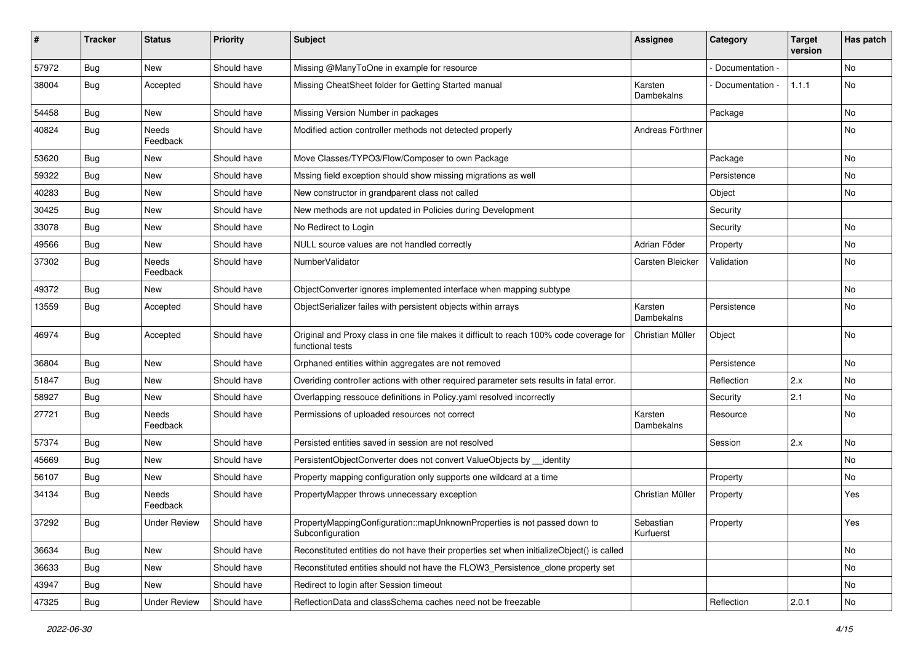| $\pmb{\#}$ | <b>Tracker</b> | <b>Status</b>       | <b>Priority</b> | <b>Subject</b>                                                                                              | <b>Assignee</b>        | Category        | <b>Target</b><br>version | Has patch |
|------------|----------------|---------------------|-----------------|-------------------------------------------------------------------------------------------------------------|------------------------|-----------------|--------------------------|-----------|
| 57972      | Bug            | <b>New</b>          | Should have     | Missing @ManyToOne in example for resource                                                                  |                        | Documentation - |                          | <b>No</b> |
| 38004      | <b>Bug</b>     | Accepted            | Should have     | Missing CheatSheet folder for Getting Started manual                                                        | Karsten<br>Dambekalns  | Documentation - | 1.1.1                    | No        |
| 54458      | <b>Bug</b>     | <b>New</b>          | Should have     | Missing Version Number in packages                                                                          |                        | Package         |                          | No        |
| 40824      | Bug            | Needs<br>Feedback   | Should have     | Modified action controller methods not detected properly                                                    | Andreas Förthner       |                 |                          | No        |
| 53620      | <b>Bug</b>     | New                 | Should have     | Move Classes/TYPO3/Flow/Composer to own Package                                                             |                        | Package         |                          | No        |
| 59322      | <b>Bug</b>     | New                 | Should have     | Mssing field exception should show missing migrations as well                                               |                        | Persistence     |                          | No        |
| 40283      | Bug            | New                 | Should have     | New constructor in grandparent class not called                                                             |                        | Object          |                          | No        |
| 30425      | <b>Bug</b>     | New                 | Should have     | New methods are not updated in Policies during Development                                                  |                        | Security        |                          |           |
| 33078      | <b>Bug</b>     | New                 | Should have     | No Redirect to Login                                                                                        |                        | Security        |                          | <b>No</b> |
| 49566      | <b>Bug</b>     | New                 | Should have     | NULL source values are not handled correctly                                                                | Adrian Föder           | Property        |                          | No        |
| 37302      | <b>Bug</b>     | Needs<br>Feedback   | Should have     | NumberValidator                                                                                             | Carsten Bleicker       | Validation      |                          | No        |
| 49372      | <b>Bug</b>     | New                 | Should have     | ObjectConverter ignores implemented interface when mapping subtype                                          |                        |                 |                          | No        |
| 13559      | <b>Bug</b>     | Accepted            | Should have     | ObjectSerializer failes with persistent objects within arrays                                               | Karsten<br>Dambekalns  | Persistence     |                          | No        |
| 46974      | Bug            | Accepted            | Should have     | Original and Proxy class in one file makes it difficult to reach 100% code coverage for<br>functional tests | Christian Müller       | Object          |                          | No        |
| 36804      | <b>Bug</b>     | New                 | Should have     | Orphaned entities within aggregates are not removed                                                         |                        | Persistence     |                          | No        |
| 51847      | <b>Bug</b>     | New                 | Should have     | Overiding controller actions with other required parameter sets results in fatal error.                     |                        | Reflection      | 2.x                      | No        |
| 58927      | <b>Bug</b>     | New                 | Should have     | Overlapping ressouce definitions in Policy.yaml resolved incorrectly                                        |                        | Security        | 2.1                      | No        |
| 27721      | <b>Bug</b>     | Needs<br>Feedback   | Should have     | Permissions of uploaded resources not correct                                                               | Karsten<br>Dambekalns  | Resource        |                          | No        |
| 57374      | Bug            | New                 | Should have     | Persisted entities saved in session are not resolved                                                        |                        | Session         | 2.x                      | No        |
| 45669      | <b>Bug</b>     | New                 | Should have     | PersistentObjectConverter does not convert ValueObjects by __identity                                       |                        |                 |                          | No        |
| 56107      | <b>Bug</b>     | New                 | Should have     | Property mapping configuration only supports one wildcard at a time                                         |                        | Property        |                          | No        |
| 34134      | Bug            | Needs<br>Feedback   | Should have     | PropertyMapper throws unnecessary exception                                                                 | Christian Müller       | Property        |                          | Yes       |
| 37292      | <b>Bug</b>     | <b>Under Review</b> | Should have     | PropertyMappingConfiguration::mapUnknownProperties is not passed down to<br>Subconfiguration                | Sebastian<br>Kurfuerst | Property        |                          | Yes       |
| 36634      | <b>Bug</b>     | New                 | Should have     | Reconstituted entities do not have their properties set when initializeObject() is called                   |                        |                 |                          | No        |
| 36633      | Bug            | New                 | Should have     | Reconstituted entities should not have the FLOW3_Persistence_clone property set                             |                        |                 |                          | No        |
| 43947      | <b>Bug</b>     | New                 | Should have     | Redirect to login after Session timeout                                                                     |                        |                 |                          | No        |
| 47325      | <b>Bug</b>     | <b>Under Review</b> | Should have     | ReflectionData and classSchema caches need not be freezable                                                 |                        | Reflection      | 2.0.1                    | No        |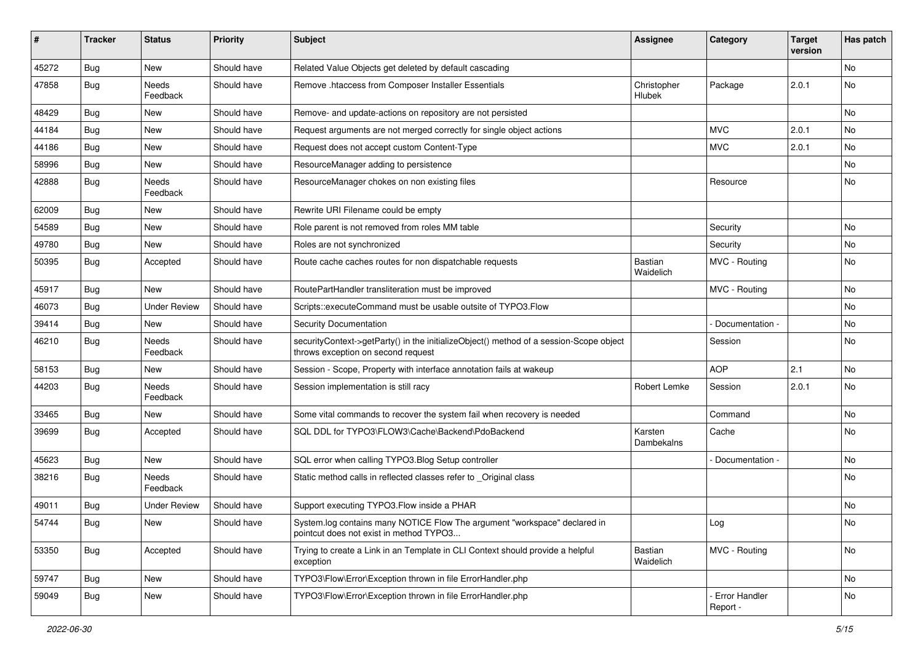| #     | <b>Tracker</b> | <b>Status</b>            | <b>Priority</b> | <b>Subject</b>                                                                                                               | <b>Assignee</b>       | Category                    | <b>Target</b><br>version | Has patch |
|-------|----------------|--------------------------|-----------------|------------------------------------------------------------------------------------------------------------------------------|-----------------------|-----------------------------|--------------------------|-----------|
| 45272 | Bug            | New                      | Should have     | Related Value Objects get deleted by default cascading                                                                       |                       |                             |                          | No        |
| 47858 | <b>Bug</b>     | Needs<br>Feedback        | Should have     | Remove .htaccess from Composer Installer Essentials                                                                          | Christopher<br>Hlubek | Package                     | 2.0.1                    | No        |
| 48429 | <b>Bug</b>     | New                      | Should have     | Remove- and update-actions on repository are not persisted                                                                   |                       |                             |                          | No        |
| 44184 | <b>Bug</b>     | New                      | Should have     | Request arguments are not merged correctly for single object actions                                                         |                       | <b>MVC</b>                  | 2.0.1                    | No        |
| 44186 | <b>Bug</b>     | New                      | Should have     | Request does not accept custom Content-Type                                                                                  |                       | <b>MVC</b>                  | 2.0.1                    | <b>No</b> |
| 58996 | <b>Bug</b>     | New                      | Should have     | ResourceManager adding to persistence                                                                                        |                       |                             |                          | No        |
| 42888 | <b>Bug</b>     | Needs<br>Feedback        | Should have     | ResourceManager chokes on non existing files                                                                                 |                       | Resource                    |                          | No        |
| 62009 | <b>Bug</b>     | New                      | Should have     | Rewrite URI Filename could be empty                                                                                          |                       |                             |                          |           |
| 54589 | Bug            | New                      | Should have     | Role parent is not removed from roles MM table                                                                               |                       | Security                    |                          | No        |
| 49780 | <b>Bug</b>     | <b>New</b>               | Should have     | Roles are not synchronized                                                                                                   |                       | Security                    |                          | No        |
| 50395 | Bug            | Accepted                 | Should have     | Route cache caches routes for non dispatchable requests                                                                      | Bastian<br>Waidelich  | MVC - Routing               |                          | No        |
| 45917 | <b>Bug</b>     | New                      | Should have     | RoutePartHandler transliteration must be improved                                                                            |                       | MVC - Routing               |                          | No        |
| 46073 | <b>Bug</b>     | <b>Under Review</b>      | Should have     | Scripts::executeCommand must be usable outsite of TYPO3.Flow                                                                 |                       |                             |                          | No        |
| 39414 | <b>Bug</b>     | New                      | Should have     | <b>Security Documentation</b>                                                                                                |                       | Documentation -             |                          | No        |
| 46210 | <b>Bug</b>     | Needs<br>Feedback        | Should have     | securityContext->getParty() in the initializeObject() method of a session-Scope object<br>throws exception on second request |                       | Session                     |                          | No        |
| 58153 | Bug            | New                      | Should have     | Session - Scope, Property with interface annotation fails at wakeup                                                          |                       | <b>AOP</b>                  | 2.1                      | <b>No</b> |
| 44203 | <b>Bug</b>     | Needs<br>Feedback        | Should have     | Session implementation is still racy                                                                                         | Robert Lemke          | Session                     | 2.0.1                    | No        |
| 33465 | <b>Bug</b>     | New                      | Should have     | Some vital commands to recover the system fail when recovery is needed                                                       |                       | Command                     |                          | No        |
| 39699 | <b>Bug</b>     | Accepted                 | Should have     | SQL DDL for TYPO3\FLOW3\Cache\Backend\PdoBackend                                                                             | Karsten<br>Dambekalns | Cache                       |                          | No        |
| 45623 | Bug            | New                      | Should have     | SQL error when calling TYPO3.Blog Setup controller                                                                           |                       | Documentation -             |                          | No        |
| 38216 | <b>Bug</b>     | <b>Needs</b><br>Feedback | Should have     | Static method calls in reflected classes refer to _Original class                                                            |                       |                             |                          | No        |
| 49011 | <b>Bug</b>     | Under Review             | Should have     | Support executing TYPO3. Flow inside a PHAR                                                                                  |                       |                             |                          | No        |
| 54744 | Bug            | New                      | Should have     | System.log contains many NOTICE Flow The argument "workspace" declared in<br>pointcut does not exist in method TYPO3         |                       | Log                         |                          | No        |
| 53350 | Bug            | Accepted                 | Should have     | Trying to create a Link in an Template in CLI Context should provide a helpful<br>exception                                  | Bastian<br>Waidelich  | MVC - Routing               |                          | No        |
| 59747 | <b>Bug</b>     | New                      | Should have     | TYPO3\Flow\Error\Exception thrown in file ErrorHandler.php                                                                   |                       |                             |                          | No        |
| 59049 | Bug            | New                      | Should have     | TYPO3\Flow\Error\Exception thrown in file ErrorHandler.php                                                                   |                       | - Error Handler<br>Report - |                          | No        |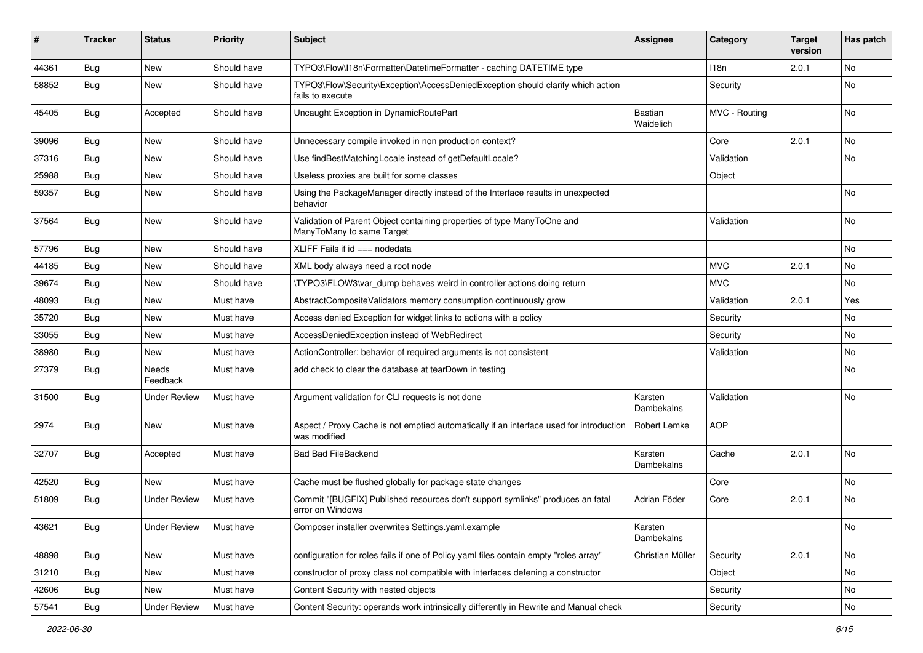| #     | <b>Tracker</b> | <b>Status</b>            | <b>Priority</b> | Subject                                                                                                 | Assignee              | Category      | <b>Target</b><br>version | Has patch |
|-------|----------------|--------------------------|-----------------|---------------------------------------------------------------------------------------------------------|-----------------------|---------------|--------------------------|-----------|
| 44361 | Bug            | <b>New</b>               | Should have     | TYPO3\Flow\I18n\Formatter\DatetimeFormatter - caching DATETIME type                                     |                       | 118n          | 2.0.1                    | No        |
| 58852 | <b>Bug</b>     | New                      | Should have     | TYPO3\Flow\Security\Exception\AccessDeniedException should clarify which action<br>fails to execute     |                       | Security      |                          | No        |
| 45405 | <b>Bug</b>     | Accepted                 | Should have     | Uncaught Exception in DynamicRoutePart                                                                  | Bastian<br>Waidelich  | MVC - Routing |                          | No        |
| 39096 | <b>Bug</b>     | <b>New</b>               | Should have     | Unnecessary compile invoked in non production context?                                                  |                       | Core          | 2.0.1                    | <b>No</b> |
| 37316 | <b>Bug</b>     | New                      | Should have     | Use findBestMatchingLocale instead of getDefaultLocale?                                                 |                       | Validation    |                          | No        |
| 25988 | <b>Bug</b>     | New                      | Should have     | Useless proxies are built for some classes                                                              |                       | Object        |                          |           |
| 59357 | Bug            | New                      | Should have     | Using the PackageManager directly instead of the Interface results in unexpected<br>behavior            |                       |               |                          | No        |
| 37564 | <b>Bug</b>     | New                      | Should have     | Validation of Parent Object containing properties of type ManyToOne and<br>ManyToMany to same Target    |                       | Validation    |                          | <b>No</b> |
| 57796 | <b>Bug</b>     | <b>New</b>               | Should have     | XLIFF Fails if $id ==$ nodedata                                                                         |                       |               |                          | No.       |
| 44185 | <b>Bug</b>     | New                      | Should have     | XML body always need a root node                                                                        |                       | <b>MVC</b>    | 2.0.1                    | No.       |
| 39674 | <b>Bug</b>     | New                      | Should have     | \TYPO3\FLOW3\var dump behaves weird in controller actions doing return                                  |                       | <b>MVC</b>    |                          | No        |
| 48093 | Bug            | New                      | Must have       | AbstractCompositeValidators memory consumption continuously grow                                        |                       | Validation    | 2.0.1                    | Yes       |
| 35720 | Bug            | New                      | Must have       | Access denied Exception for widget links to actions with a policy                                       |                       | Security      |                          | No        |
| 33055 | <b>Bug</b>     | New                      | Must have       | AccessDeniedException instead of WebRedirect                                                            |                       | Security      |                          | No        |
| 38980 | <b>Bug</b>     | <b>New</b>               | Must have       | ActionController: behavior of required arguments is not consistent                                      |                       | Validation    |                          | No        |
| 27379 | <b>Bug</b>     | <b>Needs</b><br>Feedback | Must have       | add check to clear the database at tearDown in testing                                                  |                       |               |                          | No        |
| 31500 | <b>Bug</b>     | <b>Under Review</b>      | Must have       | Argument validation for CLI requests is not done                                                        | Karsten<br>Dambekalns | Validation    |                          | No        |
| 2974  | Bug            | New                      | Must have       | Aspect / Proxy Cache is not emptied automatically if an interface used for introduction<br>was modified | Robert Lemke          | <b>AOP</b>    |                          |           |
| 32707 | <b>Bug</b>     | Accepted                 | Must have       | <b>Bad Bad FileBackend</b>                                                                              | Karsten<br>Dambekalns | Cache         | 2.0.1                    | No        |
| 42520 | <b>Bug</b>     | <b>New</b>               | Must have       | Cache must be flushed globally for package state changes                                                |                       | Core          |                          | No        |
| 51809 | Bug            | <b>Under Review</b>      | Must have       | Commit "[BUGFIX] Published resources don't support symlinks" produces an fatal<br>error on Windows      | Adrian Föder          | Core          | 2.0.1                    | No        |
| 43621 | <b>Bug</b>     | <b>Under Review</b>      | Must have       | Composer installer overwrites Settings.yaml.example                                                     | Karsten<br>Dambekalns |               |                          | No        |
| 48898 | Bug            | New                      | Must have       | configuration for roles fails if one of Policy yaml files contain empty "roles array"                   | Christian Müller      | Security      | 2.0.1                    | No        |
| 31210 | Bug            | New                      | Must have       | constructor of proxy class not compatible with interfaces defening a constructor                        |                       | Object        |                          | No        |
| 42606 | Bug            | New                      | Must have       | Content Security with nested objects                                                                    |                       | Security      |                          | No        |
| 57541 | <b>Bug</b>     | <b>Under Review</b>      | Must have       | Content Security: operands work intrinsically differently in Rewrite and Manual check                   |                       | Security      |                          | No        |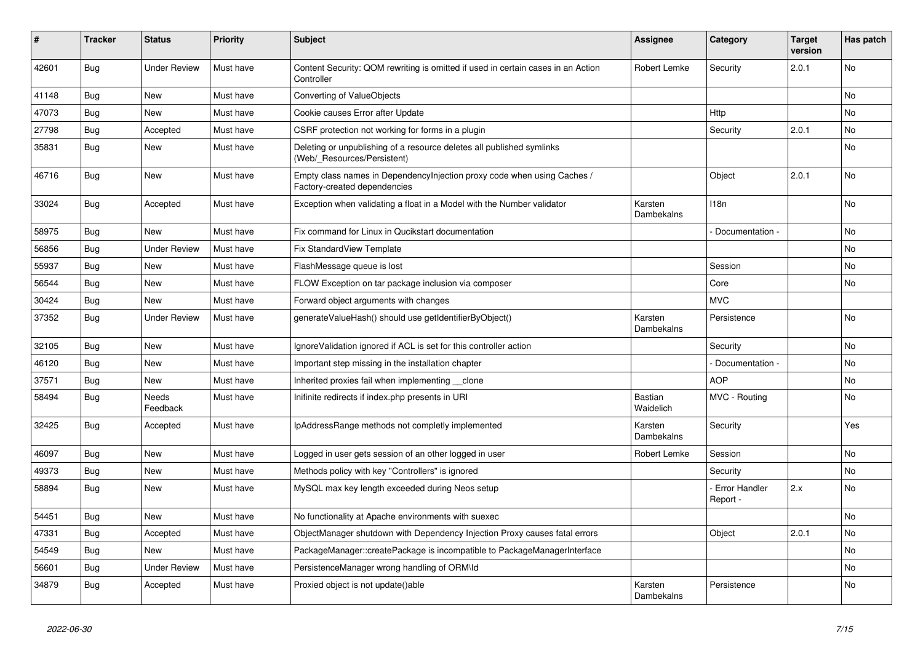| ∦     | <b>Tracker</b> | <b>Status</b>            | Priority  | <b>Subject</b>                                                                                          | <b>Assignee</b>       | Category                    | <b>Target</b><br>version | Has patch      |
|-------|----------------|--------------------------|-----------|---------------------------------------------------------------------------------------------------------|-----------------------|-----------------------------|--------------------------|----------------|
| 42601 | Bug            | <b>Under Review</b>      | Must have | Content Security: QOM rewriting is omitted if used in certain cases in an Action<br>Controller          | Robert Lemke          | Security                    | 2.0.1                    | <b>No</b>      |
| 41148 | <b>Bug</b>     | <b>New</b>               | Must have | Converting of ValueObjects                                                                              |                       |                             |                          | N <sub>o</sub> |
| 47073 | <b>Bug</b>     | <b>New</b>               | Must have | Cookie causes Error after Update                                                                        |                       | Http                        |                          | <b>No</b>      |
| 27798 | Bug            | Accepted                 | Must have | CSRF protection not working for forms in a plugin                                                       |                       | Security                    | 2.0.1                    | <b>No</b>      |
| 35831 | Bug            | New                      | Must have | Deleting or unpublishing of a resource deletes all published symlinks<br>(Web/_Resources/Persistent)    |                       |                             |                          | <b>No</b>      |
| 46716 | <b>Bug</b>     | New                      | Must have | Empty class names in Dependencylnjection proxy code when using Caches /<br>Factory-created dependencies |                       | Object                      | 2.0.1                    | No             |
| 33024 | Bug            | Accepted                 | Must have | Exception when validating a float in a Model with the Number validator                                  | Karsten<br>Dambekalns | 118n                        |                          | No             |
| 58975 | Bug            | <b>New</b>               | Must have | Fix command for Linux in Qucikstart documentation                                                       |                       | Documentation -             |                          | No             |
| 56856 | Bug            | <b>Under Review</b>      | Must have | <b>Fix StandardView Template</b>                                                                        |                       |                             |                          | No             |
| 55937 | Bug            | <b>New</b>               | Must have | FlashMessage queue is lost                                                                              |                       | Session                     |                          | <b>No</b>      |
| 56544 | Bug            | <b>New</b>               | Must have | FLOW Exception on tar package inclusion via composer                                                    |                       | Core                        |                          | No.            |
| 30424 | Bug            | <b>New</b>               | Must have | Forward object arguments with changes                                                                   |                       | <b>MVC</b>                  |                          |                |
| 37352 | Bug            | <b>Under Review</b>      | Must have | generateValueHash() should use getIdentifierByObject()                                                  | Karsten<br>Dambekalns | Persistence                 |                          | No             |
| 32105 | <b>Bug</b>     | <b>New</b>               | Must have | Ignore Validation ignored if ACL is set for this controller action                                      |                       | Security                    |                          | <b>No</b>      |
| 46120 | Bug            | <b>New</b>               | Must have | Important step missing in the installation chapter                                                      |                       | Documentation -             |                          | <b>No</b>      |
| 37571 | <b>Bug</b>     | <b>New</b>               | Must have | Inherited proxies fail when implementing clone                                                          |                       | <b>AOP</b>                  |                          | <b>No</b>      |
| 58494 | Bug            | <b>Needs</b><br>Feedback | Must have | Inifinite redirects if index.php presents in URI                                                        | Bastian<br>Waidelich  | MVC - Routing               |                          | <b>No</b>      |
| 32425 | Bug            | Accepted                 | Must have | IpAddressRange methods not completly implemented                                                        | Karsten<br>Dambekalns | Security                    |                          | Yes            |
| 46097 | <b>Bug</b>     | <b>New</b>               | Must have | Logged in user gets session of an other logged in user                                                  | Robert Lemke          | Session                     |                          | No.            |
| 49373 | Bug            | <b>New</b>               | Must have | Methods policy with key "Controllers" is ignored                                                        |                       | Security                    |                          | No             |
| 58894 | <b>Bug</b>     | <b>New</b>               | Must have | MySQL max key length exceeded during Neos setup                                                         |                       | - Error Handler<br>Report - | 2.x                      | <b>No</b>      |
| 54451 | Bug            | New                      | Must have | No functionality at Apache environments with suexec                                                     |                       |                             |                          | <b>No</b>      |
| 47331 | Bug            | Accepted                 | Must have | ObjectManager shutdown with Dependency Injection Proxy causes fatal errors                              |                       | Object                      | 2.0.1                    | <b>No</b>      |
| 54549 | Bug            | <b>New</b>               | Must have | PackageManager::createPackage is incompatible to PackageManagerInterface                                |                       |                             |                          | <b>No</b>      |
| 56601 | Bug            | <b>Under Review</b>      | Must have | PersistenceManager wrong handling of ORM\ld                                                             |                       |                             |                          | N <sub>o</sub> |
| 34879 | Bug            | Accepted                 | Must have | Proxied object is not update()able                                                                      | Karsten<br>Dambekalns | Persistence                 |                          | <b>No</b>      |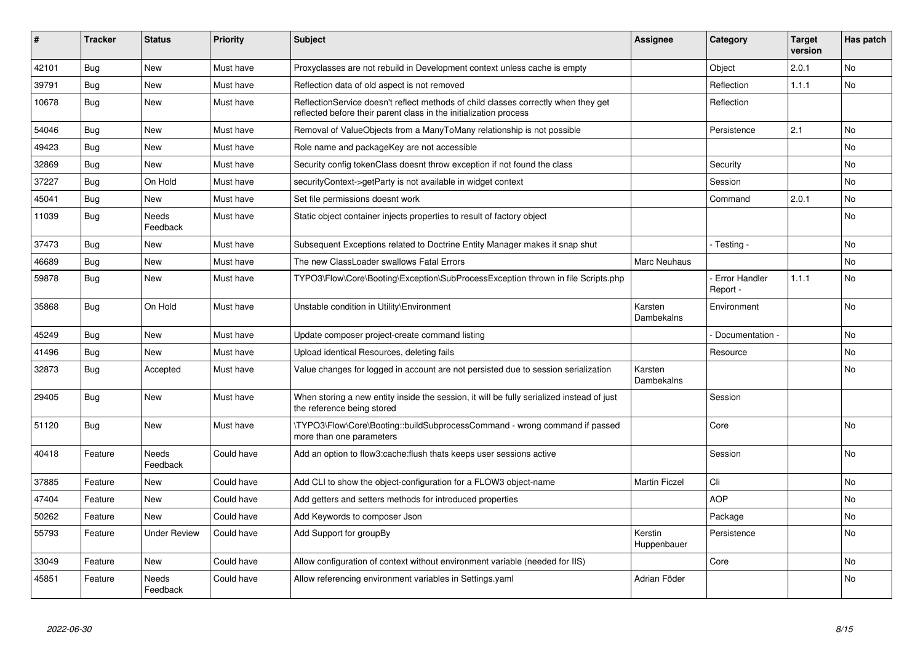| ∦     | <b>Tracker</b> | <b>Status</b>            | <b>Priority</b> | <b>Subject</b>                                                                                                                                          | <b>Assignee</b>        | Category                  | <b>Target</b><br>version | Has patch      |
|-------|----------------|--------------------------|-----------------|---------------------------------------------------------------------------------------------------------------------------------------------------------|------------------------|---------------------------|--------------------------|----------------|
| 42101 | Bug            | <b>New</b>               | Must have       | Proxyclasses are not rebuild in Development context unless cache is empty                                                                               |                        | Object                    | 2.0.1                    | <b>No</b>      |
| 39791 | <b>Bug</b>     | New                      | Must have       | Reflection data of old aspect is not removed                                                                                                            |                        | Reflection                | 1.1.1                    | No             |
| 10678 | <b>Bug</b>     | <b>New</b>               | Must have       | ReflectionService doesn't reflect methods of child classes correctly when they get<br>reflected before their parent class in the initialization process |                        | Reflection                |                          |                |
| 54046 | Bug            | <b>New</b>               | Must have       | Removal of ValueObjects from a ManyToMany relationship is not possible                                                                                  |                        | Persistence               | 2.1                      | <b>No</b>      |
| 49423 | Bug            | <b>New</b>               | Must have       | Role name and packageKey are not accessible                                                                                                             |                        |                           |                          | No             |
| 32869 | Bug            | New                      | Must have       | Security config tokenClass doesnt throw exception if not found the class                                                                                |                        | Security                  |                          | No             |
| 37227 | Bug            | On Hold                  | Must have       | securityContext->getParty is not available in widget context                                                                                            |                        | Session                   |                          | <b>No</b>      |
| 45041 | <b>Bug</b>     | <b>New</b>               | Must have       | Set file permissions doesnt work                                                                                                                        |                        | Command                   | 2.0.1                    | No             |
| 11039 | Bug            | Needs<br>Feedback        | Must have       | Static object container injects properties to result of factory object                                                                                  |                        |                           |                          | No             |
| 37473 | <b>Bug</b>     | New                      | Must have       | Subsequent Exceptions related to Doctrine Entity Manager makes it snap shut                                                                             |                        | - Testing -               |                          | No             |
| 46689 | Bug            | <b>New</b>               | Must have       | The new ClassLoader swallows Fatal Errors                                                                                                               | Marc Neuhaus           |                           |                          | No             |
| 59878 | Bug            | New                      | Must have       | TYPO3\Flow\Core\Booting\Exception\SubProcessException thrown in file Scripts.php                                                                        |                        | Error Handler<br>Report - | 1.1.1                    | <b>No</b>      |
| 35868 | <b>Bug</b>     | On Hold                  | Must have       | Unstable condition in Utility\Environment                                                                                                               | Karsten<br>Dambekalns  | Environment               |                          | <b>No</b>      |
| 45249 | Bug            | <b>New</b>               | Must have       | Update composer project-create command listing                                                                                                          |                        | Documentation -           |                          | N <sub>o</sub> |
| 41496 | <b>Bug</b>     | <b>New</b>               | Must have       | Upload identical Resources, deleting fails                                                                                                              |                        | Resource                  |                          | <b>No</b>      |
| 32873 | Bug            | Accepted                 | Must have       | Value changes for logged in account are not persisted due to session serialization                                                                      | Karsten<br>Dambekalns  |                           |                          | <b>No</b>      |
| 29405 | <b>Bug</b>     | <b>New</b>               | Must have       | When storing a new entity inside the session, it will be fully serialized instead of just<br>the reference being stored                                 |                        | Session                   |                          |                |
| 51120 | Bug            | <b>New</b>               | Must have       | \TYPO3\Flow\Core\Booting::buildSubprocessCommand - wrong command if passed<br>more than one parameters                                                  |                        | Core                      |                          | <b>No</b>      |
| 40418 | Feature        | <b>Needs</b><br>Feedback | Could have      | Add an option to flow3:cache: flush thats keeps user sessions active                                                                                    |                        | Session                   |                          | <b>No</b>      |
| 37885 | Feature        | <b>New</b>               | Could have      | Add CLI to show the object-configuration for a FLOW3 object-name                                                                                        | <b>Martin Ficzel</b>   | Cli                       |                          | <b>No</b>      |
| 47404 | Feature        | New                      | Could have      | Add getters and setters methods for introduced properties                                                                                               |                        | <b>AOP</b>                |                          | <b>No</b>      |
| 50262 | Feature        | <b>New</b>               | Could have      | Add Keywords to composer Json                                                                                                                           |                        | Package                   |                          | No             |
| 55793 | Feature        | <b>Under Review</b>      | Could have      | Add Support for groupBy                                                                                                                                 | Kerstin<br>Huppenbauer | Persistence               |                          | <b>No</b>      |
| 33049 | Feature        | <b>New</b>               | Could have      | Allow configuration of context without environment variable (needed for IIS)                                                                            |                        | Core                      |                          | <b>No</b>      |
| 45851 | Feature        | Needs<br>Feedback        | Could have      | Allow referencing environment variables in Settings yaml                                                                                                | Adrian Föder           |                           |                          | No             |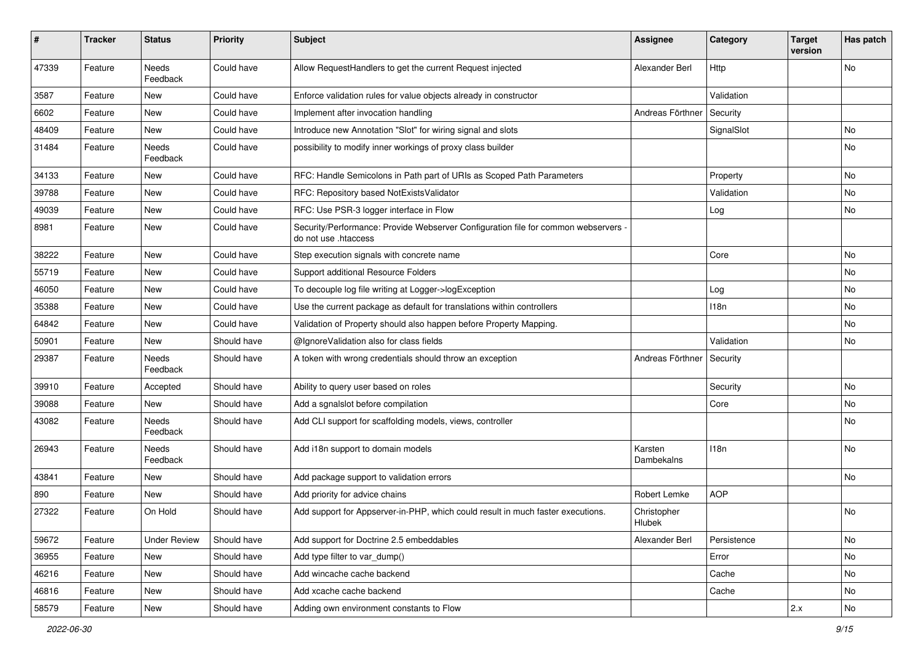| #     | <b>Tracker</b> | <b>Status</b>            | <b>Priority</b> | <b>Subject</b>                                                                                             | <b>Assignee</b>       | Category    | <b>Target</b><br>version | Has patch |
|-------|----------------|--------------------------|-----------------|------------------------------------------------------------------------------------------------------------|-----------------------|-------------|--------------------------|-----------|
| 47339 | Feature        | Needs<br>Feedback        | Could have      | Allow RequestHandlers to get the current Request injected                                                  | Alexander Berl        | Http        |                          | No        |
| 3587  | Feature        | <b>New</b>               | Could have      | Enforce validation rules for value objects already in constructor                                          |                       | Validation  |                          |           |
| 6602  | Feature        | <b>New</b>               | Could have      | Implement after invocation handling                                                                        | Andreas Förthner      | Security    |                          |           |
| 48409 | Feature        | New                      | Could have      | Introduce new Annotation "Slot" for wiring signal and slots                                                |                       | SignalSlot  |                          | No        |
| 31484 | Feature        | <b>Needs</b><br>Feedback | Could have      | possibility to modify inner workings of proxy class builder                                                |                       |             |                          | No        |
| 34133 | Feature        | <b>New</b>               | Could have      | RFC: Handle Semicolons in Path part of URIs as Scoped Path Parameters                                      |                       | Property    |                          | No        |
| 39788 | Feature        | <b>New</b>               | Could have      | RFC: Repository based NotExistsValidator                                                                   |                       | Validation  |                          | No        |
| 49039 | Feature        | New                      | Could have      | RFC: Use PSR-3 logger interface in Flow                                                                    |                       | Log         |                          | No        |
| 8981  | Feature        | New                      | Could have      | Security/Performance: Provide Webserver Configuration file for common webservers -<br>do not use .htaccess |                       |             |                          |           |
| 38222 | Feature        | New                      | Could have      | Step execution signals with concrete name                                                                  |                       | Core        |                          | No        |
| 55719 | Feature        | <b>New</b>               | Could have      | Support additional Resource Folders                                                                        |                       |             |                          | No        |
| 46050 | Feature        | New                      | Could have      | To decouple log file writing at Logger->logException                                                       |                       | Log         |                          | No        |
| 35388 | Feature        | <b>New</b>               | Could have      | Use the current package as default for translations within controllers                                     |                       | 118n        |                          | No        |
| 64842 | Feature        | <b>New</b>               | Could have      | Validation of Property should also happen before Property Mapping.                                         |                       |             |                          | No        |
| 50901 | Feature        | New                      | Should have     | @IgnoreValidation also for class fields                                                                    |                       | Validation  |                          | No        |
| 29387 | Feature        | <b>Needs</b><br>Feedback | Should have     | A token with wrong credentials should throw an exception                                                   | Andreas Förthner      | Security    |                          |           |
| 39910 | Feature        | Accepted                 | Should have     | Ability to query user based on roles                                                                       |                       | Security    |                          | No        |
| 39088 | Feature        | <b>New</b>               | Should have     | Add a sgnalslot before compilation                                                                         |                       | Core        |                          | No        |
| 43082 | Feature        | Needs<br>Feedback        | Should have     | Add CLI support for scaffolding models, views, controller                                                  |                       |             |                          | No        |
| 26943 | Feature        | Needs<br>Feedback        | Should have     | Add i18n support to domain models                                                                          | Karsten<br>Dambekalns | 118n        |                          | No        |
| 43841 | Feature        | <b>New</b>               | Should have     | Add package support to validation errors                                                                   |                       |             |                          | No        |
| 890   | Feature        | <b>New</b>               | Should have     | Add priority for advice chains                                                                             | Robert Lemke          | <b>AOP</b>  |                          |           |
| 27322 | Feature        | On Hold                  | Should have     | Add support for Appserver-in-PHP, which could result in much faster executions.                            | Christopher<br>Hlubek |             |                          | No        |
| 59672 | Feature        | <b>Under Review</b>      | Should have     | Add support for Doctrine 2.5 embeddables                                                                   | Alexander Berl        | Persistence |                          | No        |
| 36955 | Feature        | New                      | Should have     | Add type filter to var_dump()                                                                              |                       | Error       |                          | No        |
| 46216 | Feature        | New                      | Should have     | Add wincache cache backend                                                                                 |                       | Cache       |                          | No        |
| 46816 | Feature        | New                      | Should have     | Add xcache cache backend                                                                                   |                       | Cache       |                          | No        |
| 58579 | Feature        | New                      | Should have     | Adding own environment constants to Flow                                                                   |                       |             | 2.x                      | No        |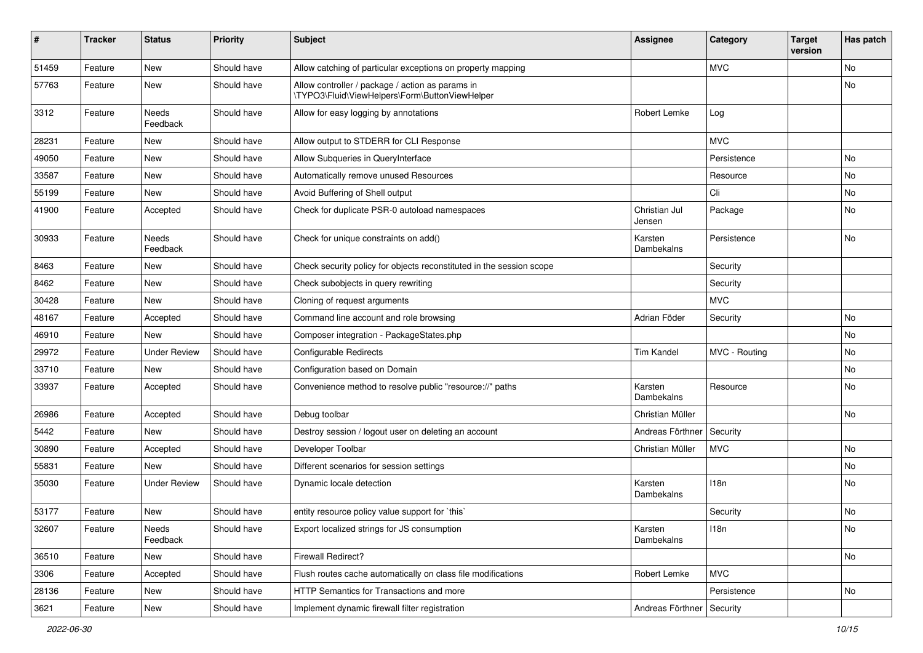| #     | <b>Tracker</b> | <b>Status</b>            | <b>Priority</b> | <b>Subject</b>                                                                                     | <b>Assignee</b>             | Category      | <b>Target</b><br>version | Has patch |
|-------|----------------|--------------------------|-----------------|----------------------------------------------------------------------------------------------------|-----------------------------|---------------|--------------------------|-----------|
| 51459 | Feature        | <b>New</b>               | Should have     | Allow catching of particular exceptions on property mapping                                        |                             | <b>MVC</b>    |                          | No        |
| 57763 | Feature        | New                      | Should have     | Allow controller / package / action as params in<br>\TYPO3\Fluid\ViewHelpers\Form\ButtonViewHelper |                             |               |                          | No        |
| 3312  | Feature        | <b>Needs</b><br>Feedback | Should have     | Allow for easy logging by annotations                                                              | Robert Lemke                | Log           |                          |           |
| 28231 | Feature        | <b>New</b>               | Should have     | Allow output to STDERR for CLI Response                                                            |                             | <b>MVC</b>    |                          |           |
| 49050 | Feature        | New                      | Should have     | Allow Subqueries in QueryInterface                                                                 |                             | Persistence   |                          | No        |
| 33587 | Feature        | New                      | Should have     | Automatically remove unused Resources                                                              |                             | Resource      |                          | No        |
| 55199 | Feature        | <b>New</b>               | Should have     | Avoid Buffering of Shell output                                                                    |                             | Cli           |                          | No        |
| 41900 | Feature        | Accepted                 | Should have     | Check for duplicate PSR-0 autoload namespaces                                                      | Christian Jul<br>Jensen     | Package       |                          | No        |
| 30933 | Feature        | <b>Needs</b><br>Feedback | Should have     | Check for unique constraints on add()                                                              | Karsten<br>Dambekalns       | Persistence   |                          | No        |
| 8463  | Feature        | New                      | Should have     | Check security policy for objects reconstituted in the session scope                               |                             | Security      |                          |           |
| 8462  | Feature        | New                      | Should have     | Check subobjects in query rewriting                                                                |                             | Security      |                          |           |
| 30428 | Feature        | New                      | Should have     | Cloning of request arguments                                                                       |                             | <b>MVC</b>    |                          |           |
| 48167 | Feature        | Accepted                 | Should have     | Command line account and role browsing                                                             | Adrian Föder                | Security      |                          | No        |
| 46910 | Feature        | New                      | Should have     | Composer integration - PackageStates.php                                                           |                             |               |                          | No        |
| 29972 | Feature        | <b>Under Review</b>      | Should have     | <b>Configurable Redirects</b>                                                                      | <b>Tim Kandel</b>           | MVC - Routing |                          | No        |
| 33710 | Feature        | <b>New</b>               | Should have     | Configuration based on Domain                                                                      |                             |               |                          | No        |
| 33937 | Feature        | Accepted                 | Should have     | Convenience method to resolve public "resource://" paths                                           | Karsten<br>Dambekalns       | Resource      |                          | No        |
| 26986 | Feature        | Accepted                 | Should have     | Debug toolbar                                                                                      | Christian Müller            |               |                          | No        |
| 5442  | Feature        | <b>New</b>               | Should have     | Destroy session / logout user on deleting an account                                               | Andreas Förthner            | Security      |                          |           |
| 30890 | Feature        | Accepted                 | Should have     | Developer Toolbar                                                                                  | Christian Müller            | <b>MVC</b>    |                          | No        |
| 55831 | Feature        | <b>New</b>               | Should have     | Different scenarios for session settings                                                           |                             |               |                          | No        |
| 35030 | Feature        | <b>Under Review</b>      | Should have     | Dynamic locale detection                                                                           | Karsten<br>Dambekalns       | 118n          |                          | No        |
| 53177 | Feature        | New                      | Should have     | entity resource policy value support for `this`                                                    |                             | Security      |                          | No        |
| 32607 | Feature        | Needs<br>Feedback        | Should have     | Export localized strings for JS consumption                                                        | Karsten<br>Dambekalns       | 118n          |                          | No        |
| 36510 | Feature        | New                      | Should have     | Firewall Redirect?                                                                                 |                             |               |                          | No        |
| 3306  | Feature        | Accepted                 | Should have     | Flush routes cache automatically on class file modifications                                       | Robert Lemke                | <b>MVC</b>    |                          |           |
| 28136 | Feature        | New                      | Should have     | HTTP Semantics for Transactions and more                                                           |                             | Persistence   |                          | No        |
| 3621  | Feature        | New                      | Should have     | Implement dynamic firewall filter registration                                                     | Andreas Förthner   Security |               |                          |           |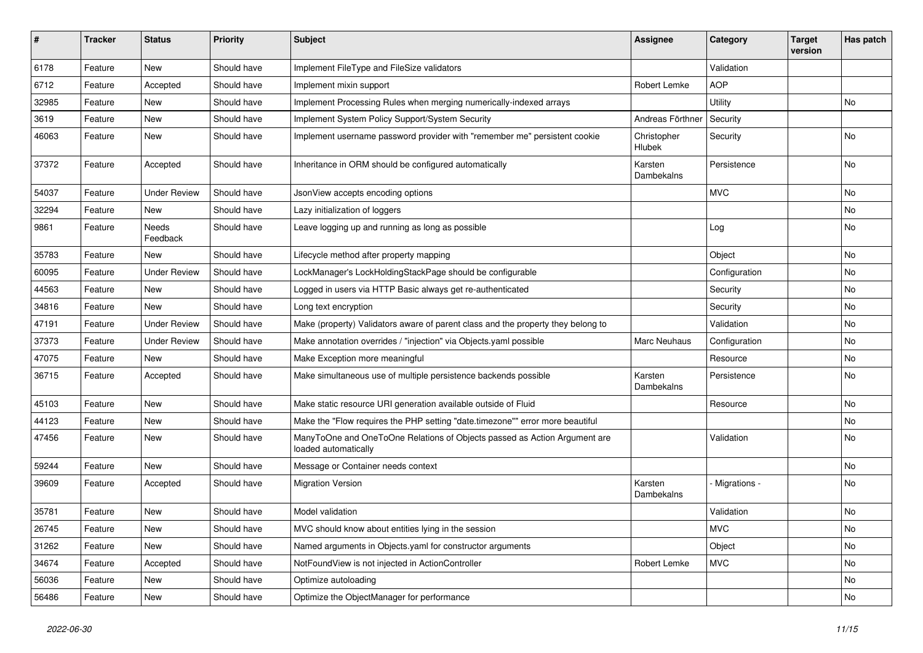| #     | <b>Tracker</b> | <b>Status</b>       | <b>Priority</b> | <b>Subject</b>                                                                                    | <b>Assignee</b>       | Category      | <b>Target</b><br>version | Has patch |
|-------|----------------|---------------------|-----------------|---------------------------------------------------------------------------------------------------|-----------------------|---------------|--------------------------|-----------|
| 6178  | Feature        | New                 | Should have     | Implement FileType and FileSize validators                                                        |                       | Validation    |                          |           |
| 6712  | Feature        | Accepted            | Should have     | Implement mixin support                                                                           | Robert Lemke          | <b>AOP</b>    |                          |           |
| 32985 | Feature        | New                 | Should have     | Implement Processing Rules when merging numerically-indexed arrays                                |                       | Utility       |                          | No        |
| 3619  | Feature        | New                 | Should have     | Implement System Policy Support/System Security                                                   | Andreas Förthner      | Security      |                          |           |
| 46063 | Feature        | New                 | Should have     | Implement username password provider with "remember me" persistent cookie                         | Christopher<br>Hlubek | Security      |                          | No        |
| 37372 | Feature        | Accepted            | Should have     | Inheritance in ORM should be configured automatically                                             | Karsten<br>Dambekalns | Persistence   |                          | No        |
| 54037 | Feature        | <b>Under Review</b> | Should have     | JsonView accepts encoding options                                                                 |                       | <b>MVC</b>    |                          | <b>No</b> |
| 32294 | Feature        | <b>New</b>          | Should have     | Lazy initialization of loggers                                                                    |                       |               |                          | No        |
| 9861  | Feature        | Needs<br>Feedback   | Should have     | Leave logging up and running as long as possible                                                  |                       | Log           |                          | No        |
| 35783 | Feature        | <b>New</b>          | Should have     | Lifecycle method after property mapping                                                           |                       | Object        |                          | No        |
| 60095 | Feature        | <b>Under Review</b> | Should have     | LockManager's LockHoldingStackPage should be configurable                                         |                       | Configuration |                          | No        |
| 44563 | Feature        | New                 | Should have     | Logged in users via HTTP Basic always get re-authenticated                                        |                       | Security      |                          | No        |
| 34816 | Feature        | New                 | Should have     | Long text encryption                                                                              |                       | Security      |                          | No        |
| 47191 | Feature        | <b>Under Review</b> | Should have     | Make (property) Validators aware of parent class and the property they belong to                  |                       | Validation    |                          | No        |
| 37373 | Feature        | <b>Under Review</b> | Should have     | Make annotation overrides / "injection" via Objects.yaml possible                                 | <b>Marc Neuhaus</b>   | Configuration |                          | No        |
| 47075 | Feature        | New                 | Should have     | Make Exception more meaningful                                                                    |                       | Resource      |                          | No        |
| 36715 | Feature        | Accepted            | Should have     | Make simultaneous use of multiple persistence backends possible                                   | Karsten<br>Dambekalns | Persistence   |                          | No        |
| 45103 | Feature        | New                 | Should have     | Make static resource URI generation available outside of Fluid                                    |                       | Resource      |                          | No        |
| 44123 | Feature        | New                 | Should have     | Make the "Flow requires the PHP setting "date.timezone"" error more beautiful                     |                       |               |                          | No        |
| 47456 | Feature        | New                 | Should have     | ManyToOne and OneToOne Relations of Objects passed as Action Argument are<br>loaded automatically |                       | Validation    |                          | No        |
| 59244 | Feature        | <b>New</b>          | Should have     | Message or Container needs context                                                                |                       |               |                          | No        |
| 39609 | Feature        | Accepted            | Should have     | <b>Migration Version</b>                                                                          | Karsten<br>Dambekalns | Migrations -  |                          | No        |
| 35781 | Feature        | New                 | Should have     | Model validation                                                                                  |                       | Validation    |                          | No        |
| 26745 | Feature        | New                 | Should have     | MVC should know about entities lying in the session                                               |                       | <b>MVC</b>    |                          | No        |
| 31262 | Feature        | New                 | Should have     | Named arguments in Objects.yaml for constructor arguments                                         |                       | Object        |                          | No        |
| 34674 | Feature        | Accepted            | Should have     | NotFoundView is not injected in ActionController                                                  | Robert Lemke          | <b>MVC</b>    |                          | No        |
| 56036 | Feature        | New                 | Should have     | Optimize autoloading                                                                              |                       |               |                          | No        |
| 56486 | Feature        | New                 | Should have     | Optimize the ObjectManager for performance                                                        |                       |               |                          | No        |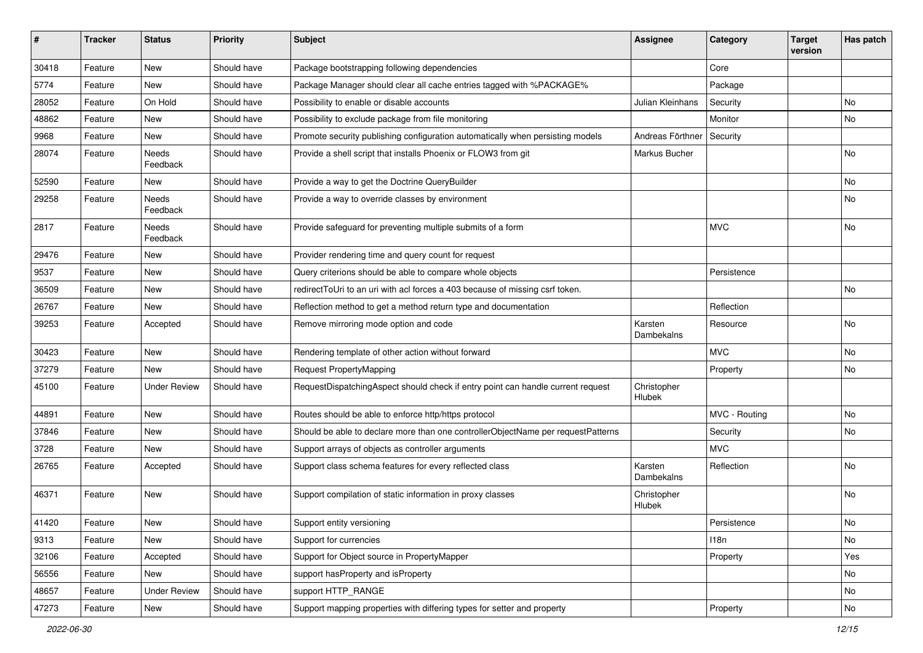| ∦     | <b>Tracker</b> | <b>Status</b>            | <b>Priority</b> | <b>Subject</b>                                                                   | <b>Assignee</b>       | Category      | <b>Target</b><br>version | Has patch     |
|-------|----------------|--------------------------|-----------------|----------------------------------------------------------------------------------|-----------------------|---------------|--------------------------|---------------|
| 30418 | Feature        | New                      | Should have     | Package bootstrapping following dependencies                                     |                       | Core          |                          |               |
| 5774  | Feature        | New                      | Should have     | Package Manager should clear all cache entries tagged with %PACKAGE%             |                       | Package       |                          |               |
| 28052 | Feature        | On Hold                  | Should have     | Possibility to enable or disable accounts                                        | Julian Kleinhans      | Security      |                          | No            |
| 48862 | Feature        | New                      | Should have     | Possibility to exclude package from file monitoring                              |                       | Monitor       |                          | <b>No</b>     |
| 9968  | Feature        | New                      | Should have     | Promote security publishing configuration automatically when persisting models   | Andreas Förthner      | Security      |                          |               |
| 28074 | Feature        | <b>Needs</b><br>Feedback | Should have     | Provide a shell script that installs Phoenix or FLOW3 from git                   | Markus Bucher         |               |                          | No            |
| 52590 | Feature        | New                      | Should have     | Provide a way to get the Doctrine QueryBuilder                                   |                       |               |                          | No            |
| 29258 | Feature        | Needs<br>Feedback        | Should have     | Provide a way to override classes by environment                                 |                       |               |                          | No            |
| 2817  | Feature        | Needs<br>Feedback        | Should have     | Provide safeguard for preventing multiple submits of a form                      |                       | <b>MVC</b>    |                          | No            |
| 29476 | Feature        | New                      | Should have     | Provider rendering time and query count for request                              |                       |               |                          |               |
| 9537  | Feature        | New                      | Should have     | Query criterions should be able to compare whole objects                         |                       | Persistence   |                          |               |
| 36509 | Feature        | New                      | Should have     | redirectToUri to an uri with acl forces a 403 because of missing csrf token.     |                       |               |                          | No            |
| 26767 | Feature        | New                      | Should have     | Reflection method to get a method return type and documentation                  |                       | Reflection    |                          |               |
| 39253 | Feature        | Accepted                 | Should have     | Remove mirroring mode option and code                                            | Karsten<br>Dambekalns | Resource      |                          | No            |
| 30423 | Feature        | New                      | Should have     | Rendering template of other action without forward                               |                       | <b>MVC</b>    |                          | No            |
| 37279 | Feature        | New                      | Should have     | Request PropertyMapping                                                          |                       | Property      |                          | No            |
| 45100 | Feature        | <b>Under Review</b>      | Should have     | RequestDispatchingAspect should check if entry point can handle current request  | Christopher<br>Hlubek |               |                          |               |
| 44891 | Feature        | New                      | Should have     | Routes should be able to enforce http/https protocol                             |                       | MVC - Routing |                          | No            |
| 37846 | Feature        | New                      | Should have     | Should be able to declare more than one controllerObjectName per requestPatterns |                       | Security      |                          | No            |
| 3728  | Feature        | New                      | Should have     | Support arrays of objects as controller arguments                                |                       | <b>MVC</b>    |                          |               |
| 26765 | Feature        | Accepted                 | Should have     | Support class schema features for every reflected class                          | Karsten<br>Dambekalns | Reflection    |                          | No            |
| 46371 | Feature        | <b>New</b>               | Should have     | Support compilation of static information in proxy classes                       | Christopher<br>Hlubek |               |                          | <b>No</b>     |
| 41420 | Feature        | New                      | Should have     | Support entity versioning                                                        |                       | Persistence   |                          | $\mathsf{No}$ |
| 9313  | Feature        | New                      | Should have     | Support for currencies                                                           |                       | 118n          |                          | No            |
| 32106 | Feature        | Accepted                 | Should have     | Support for Object source in PropertyMapper                                      |                       | Property      |                          | Yes           |
| 56556 | Feature        | New                      | Should have     | support has Property and is Property                                             |                       |               |                          | No            |
| 48657 | Feature        | <b>Under Review</b>      | Should have     | support HTTP_RANGE                                                               |                       |               |                          | No            |
| 47273 | Feature        | New                      | Should have     | Support mapping properties with differing types for setter and property          |                       | Property      |                          | No            |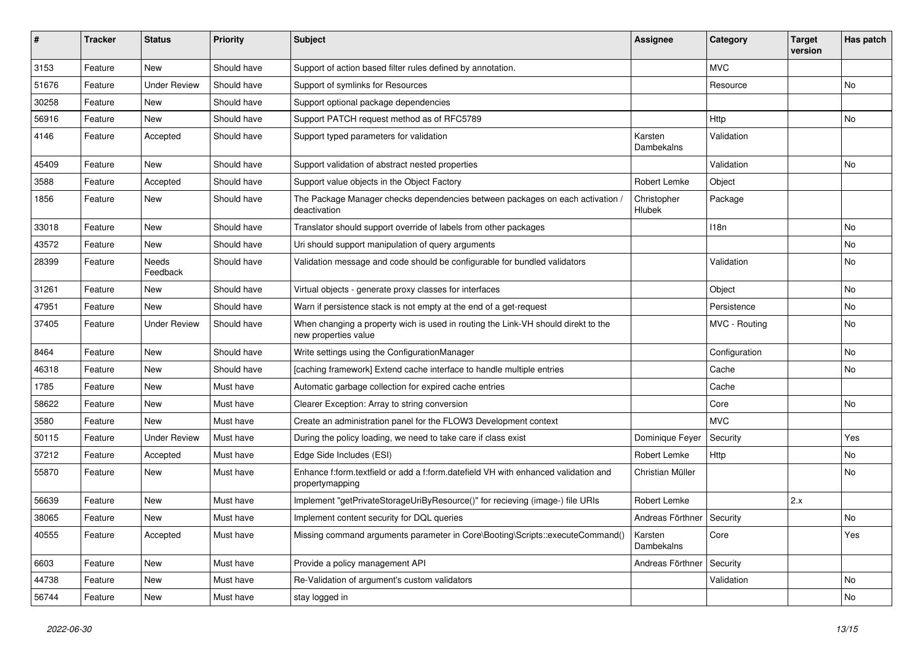| #     | <b>Tracker</b> | <b>Status</b>       | <b>Priority</b> | <b>Subject</b>                                                                                            | Assignee                     | Category      | <b>Target</b><br>version | Has patch |
|-------|----------------|---------------------|-----------------|-----------------------------------------------------------------------------------------------------------|------------------------------|---------------|--------------------------|-----------|
| 3153  | Feature        | <b>New</b>          | Should have     | Support of action based filter rules defined by annotation.                                               |                              | <b>MVC</b>    |                          |           |
| 51676 | Feature        | <b>Under Review</b> | Should have     | Support of symlinks for Resources                                                                         |                              | Resource      |                          | No        |
| 30258 | Feature        | New                 | Should have     | Support optional package dependencies                                                                     |                              |               |                          |           |
| 56916 | Feature        | <b>New</b>          | Should have     | Support PATCH request method as of RFC5789                                                                |                              | Http          |                          | No        |
| 4146  | Feature        | Accepted            | Should have     | Support typed parameters for validation                                                                   | Karsten<br>Dambekalns        | Validation    |                          |           |
| 45409 | Feature        | New                 | Should have     | Support validation of abstract nested properties                                                          |                              | Validation    |                          | No        |
| 3588  | Feature        | Accepted            | Should have     | Support value objects in the Object Factory                                                               | Robert Lemke                 | Object        |                          |           |
| 1856  | Feature        | New                 | Should have     | The Package Manager checks dependencies between packages on each activation<br>deactivation               | Christopher<br><b>Hlubek</b> | Package       |                          |           |
| 33018 | Feature        | New                 | Should have     | Translator should support override of labels from other packages                                          |                              | 118n          |                          | No        |
| 43572 | Feature        | <b>New</b>          | Should have     | Uri should support manipulation of query arguments                                                        |                              |               |                          | No        |
| 28399 | Feature        | Needs<br>Feedback   | Should have     | Validation message and code should be configurable for bundled validators                                 |                              | Validation    |                          | No        |
| 31261 | Feature        | New                 | Should have     | Virtual objects - generate proxy classes for interfaces                                                   |                              | Object        |                          | No        |
| 47951 | Feature        | New                 | Should have     | Warn if persistence stack is not empty at the end of a get-request                                        |                              | Persistence   |                          | No        |
| 37405 | Feature        | <b>Under Review</b> | Should have     | When changing a property wich is used in routing the Link-VH should direkt to the<br>new properties value |                              | MVC - Routing |                          | No        |
| 8464  | Feature        | New                 | Should have     | Write settings using the ConfigurationManager                                                             |                              | Configuration |                          | No        |
| 46318 | Feature        | <b>New</b>          | Should have     | [caching framework] Extend cache interface to handle multiple entries                                     |                              | Cache         |                          | No        |
| 1785  | Feature        | New                 | Must have       | Automatic garbage collection for expired cache entries                                                    |                              | Cache         |                          |           |
| 58622 | Feature        | New                 | Must have       | Clearer Exception: Array to string conversion                                                             |                              | Core          |                          | No.       |
| 3580  | Feature        | New                 | Must have       | Create an administration panel for the FLOW3 Development context                                          |                              | <b>MVC</b>    |                          |           |
| 50115 | Feature        | <b>Under Review</b> | Must have       | During the policy loading, we need to take care if class exist                                            | Dominique Feyer              | Security      |                          | Yes       |
| 37212 | Feature        | Accepted            | Must have       | Edge Side Includes (ESI)                                                                                  | Robert Lemke                 | Http          |                          | No        |
| 55870 | Feature        | New                 | Must have       | Enhance f:form.textfield or add a f:form.datefield VH with enhanced validation and<br>propertymapping     | Christian Müller             |               |                          | No        |
| 56639 | Feature        | New                 | Must have       | Implement "getPrivateStorageUriByResource()" for recieving (image-) file URIs                             | Robert Lemke                 |               | 2.x                      |           |
| 38065 | Feature        | New                 | Must have       | Implement content security for DQL queries                                                                | Andreas Förthner   Security  |               |                          | No        |
| 40555 | Feature        | Accepted            | Must have       | Missing command arguments parameter in Core\Booting\Scripts::executeCommand()                             | Karsten<br>Dambekalns        | Core          |                          | Yes       |
| 6603  | Feature        | <b>New</b>          | Must have       | Provide a policy management API                                                                           | Andreas Förthner             | Security      |                          |           |
| 44738 | Feature        | <b>New</b>          | Must have       | Re-Validation of argument's custom validators                                                             |                              | Validation    |                          | No        |
| 56744 | Feature        | New                 | Must have       | stay logged in                                                                                            |                              |               |                          | No        |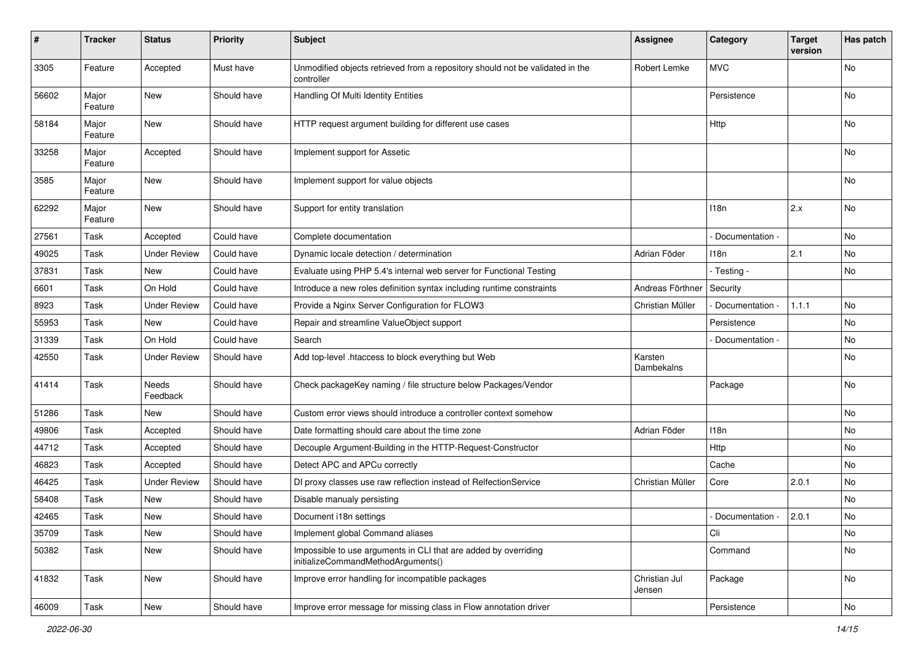| #     | <b>Tracker</b>   | <b>Status</b>       | Priority    | <b>Subject</b>                                                                                        | <b>Assignee</b>         | Category          | <b>Target</b><br>version | Has patch |
|-------|------------------|---------------------|-------------|-------------------------------------------------------------------------------------------------------|-------------------------|-------------------|--------------------------|-----------|
| 3305  | Feature          | Accepted            | Must have   | Unmodified objects retrieved from a repository should not be validated in the<br>controller           | Robert Lemke            | <b>MVC</b>        |                          | No        |
| 56602 | Major<br>Feature | New                 | Should have | Handling Of Multi Identity Entities                                                                   |                         | Persistence       |                          | No        |
| 58184 | Major<br>Feature | New                 | Should have | HTTP request argument building for different use cases                                                |                         | Http              |                          | No        |
| 33258 | Major<br>Feature | Accepted            | Should have | Implement support for Assetic                                                                         |                         |                   |                          | No        |
| 3585  | Major<br>Feature | New                 | Should have | Implement support for value objects                                                                   |                         |                   |                          | No        |
| 62292 | Major<br>Feature | New                 | Should have | Support for entity translation                                                                        |                         | 118n              | 2.x                      | No        |
| 27561 | Task             | Accepted            | Could have  | Complete documentation                                                                                |                         | - Documentation - |                          | No        |
| 49025 | Task             | <b>Under Review</b> | Could have  | Dynamic locale detection / determination                                                              | Adrian Föder            | 118n              | 2.1                      | No        |
| 37831 | Task             | New                 | Could have  | Evaluate using PHP 5.4's internal web server for Functional Testing                                   |                         | - Testing -       |                          | No        |
| 6601  | Task             | On Hold             | Could have  | Introduce a new roles definition syntax including runtime constraints                                 | Andreas Förthner        | Security          |                          |           |
| 8923  | Task             | <b>Under Review</b> | Could have  | Provide a Nginx Server Configuration for FLOW3                                                        | Christian Müller        | - Documentation - | 1.1.1                    | No        |
| 55953 | Task             | New                 | Could have  | Repair and streamline ValueObject support                                                             |                         | Persistence       |                          | No        |
| 31339 | Task             | On Hold             | Could have  | Search                                                                                                |                         | Documentation -   |                          | No        |
| 42550 | Task             | <b>Under Review</b> | Should have | Add top-level .htaccess to block everything but Web                                                   | Karsten<br>Dambekalns   |                   |                          | No        |
| 41414 | Task             | Needs<br>Feedback   | Should have | Check packageKey naming / file structure below Packages/Vendor                                        |                         | Package           |                          | No        |
| 51286 | Task             | New                 | Should have | Custom error views should introduce a controller context somehow                                      |                         |                   |                          | No        |
| 49806 | Task             | Accepted            | Should have | Date formatting should care about the time zone                                                       | Adrian Föder            | 118n              |                          | No        |
| 44712 | Task             | Accepted            | Should have | Decouple Argument-Building in the HTTP-Request-Constructor                                            |                         | Http              |                          | No        |
| 46823 | Task             | Accepted            | Should have | Detect APC and APCu correctly                                                                         |                         | Cache             |                          | No        |
| 46425 | Task             | <b>Under Review</b> | Should have | DI proxy classes use raw reflection instead of RelfectionService                                      | Christian Müller        | Core              | 2.0.1                    | No        |
| 58408 | Task             | New                 | Should have | Disable manualy persisting                                                                            |                         |                   |                          | No        |
| 42465 | Task             | New                 | Should have | Document i18n settings                                                                                |                         | Documentation -   | 2.0.1                    | No        |
| 35709 | Task             | New                 | Should have | Implement global Command aliases                                                                      |                         | Cli               |                          | No        |
| 50382 | Task             | New                 | Should have | Impossible to use arguments in CLI that are added by overriding<br>initializeCommandMethodArguments() |                         | Command           |                          | No        |
| 41832 | Task             | New                 | Should have | Improve error handling for incompatible packages                                                      | Christian Jul<br>Jensen | Package           |                          | No        |
| 46009 | Task             | New                 | Should have | Improve error message for missing class in Flow annotation driver                                     |                         | Persistence       |                          | No        |